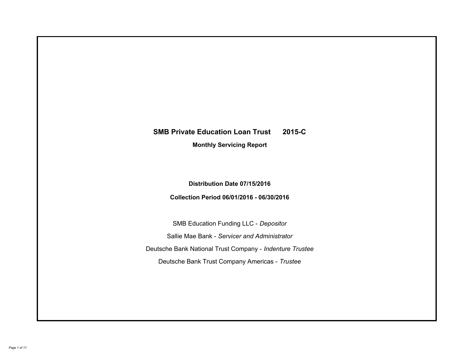# **SMB Private Education Loan Trust 2015-C Monthly Servicing Report**

## **Distribution Date 07/15/2016**

## **Collection Period 06/01/2016 - 06/30/2016**

SMB Education Funding LLC - *Depositor* Sallie Mae Bank - *Servicer and Administrator* Deutsche Bank National Trust Company - *Indenture Trustee* Deutsche Bank Trust Company Americas - *Trustee*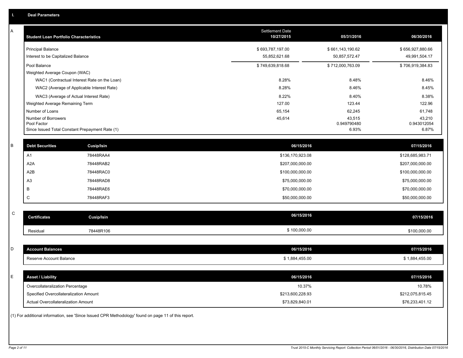| Α           | <b>Student Loan Portfolio Characteristics</b> |                                                                                                     | <b>Settlement Date</b><br>10/27/2015 | 05/31/2016            | 06/30/2016            |
|-------------|-----------------------------------------------|-----------------------------------------------------------------------------------------------------|--------------------------------------|-----------------------|-----------------------|
|             | <b>Principal Balance</b>                      |                                                                                                     | \$693,787,197.00                     | \$661,143,190.62      | \$656,927,880.66      |
|             | Interest to be Capitalized Balance            |                                                                                                     | 55,852,621.68                        | 50,857,572.47         | 49,991,504.17         |
|             | Pool Balance                                  |                                                                                                     | \$749,639,818.68                     | \$712,000,763.09      | \$706,919,384.83      |
|             | Weighted Average Coupon (WAC)                 |                                                                                                     |                                      |                       |                       |
|             |                                               | WAC1 (Contractual Interest Rate on the Loan)                                                        | 8.28%                                | 8.48%                 | 8.46%                 |
|             |                                               | WAC2 (Average of Applicable Interest Rate)                                                          | 8.28%                                | 8.46%                 | 8.45%                 |
|             |                                               | WAC3 (Average of Actual Interest Rate)                                                              | 8.22%                                | 8.40%                 | 8.38%                 |
|             | Weighted Average Remaining Term               |                                                                                                     | 127.00                               | 123.44                | 122.96                |
|             | Number of Loans                               |                                                                                                     | 65,154                               | 62,245                | 61,748                |
|             | Number of Borrowers<br>Pool Factor            |                                                                                                     | 45,614                               | 43,515<br>0.949790480 | 43,210<br>0.943012054 |
|             |                                               | Since Issued Total Constant Prepayment Rate (1)                                                     |                                      | 6.93%                 | 6.87%                 |
|             |                                               |                                                                                                     |                                      |                       |                       |
| B           | <b>Debt Securities</b>                        | Cusip/Isin                                                                                          | 06/15/2016                           |                       | 07/15/2016            |
|             | A1                                            | 78448RAA4                                                                                           | \$136,170,923.08                     |                       | \$128,685,983.71      |
|             | A <sub>2</sub> A                              | 78448RAB2                                                                                           | \$207,000,000.00                     |                       | \$207,000,000.00      |
|             | A2B                                           | 78448RAC0                                                                                           | \$100,000,000.00                     |                       | \$100,000,000.00      |
|             | A <sub>3</sub>                                | 78448RAD8                                                                                           | \$75,000,000.00                      |                       | \$75,000,000.00       |
|             | B                                             | 78448RAE6                                                                                           | \$70,000,000.00                      |                       | \$70,000,000.00       |
|             | C                                             | 78448RAF3                                                                                           | \$50,000,000.00                      |                       | \$50,000,000.00       |
|             |                                               |                                                                                                     |                                      |                       |                       |
| $\mathsf C$ | <b>Certificates</b>                           | <b>Cusip/Isin</b>                                                                                   | 06/15/2016                           |                       | 07/15/2016            |
|             | Residual                                      | 78448R106                                                                                           | \$100,000.00                         |                       | \$100,000.00          |
|             |                                               |                                                                                                     |                                      |                       |                       |
| D           | <b>Account Balances</b>                       |                                                                                                     | 06/15/2016                           |                       | 07/15/2016            |
|             | Reserve Account Balance                       |                                                                                                     | \$1,884,455.00                       |                       | \$1,884,455.00        |
|             |                                               |                                                                                                     |                                      |                       |                       |
| E           | <b>Asset / Liability</b>                      |                                                                                                     | 06/15/2016                           |                       | 07/15/2016            |
|             | Overcollateralization Percentage              |                                                                                                     | 10.37%                               |                       | 10.78%                |
|             | Specified Overcollateralization Amount        |                                                                                                     | \$213,600,228.93                     |                       | \$212,075,815.45      |
|             | Actual Overcollateralization Amount           |                                                                                                     | \$73,829,840.01                      |                       | \$76,233,401.12       |
|             |                                               | (1) For additional information, see 'Since Issued CPR Methodology' found on page 11 of this report. |                                      |                       |                       |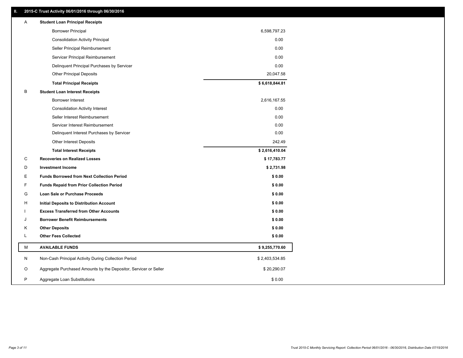### **II. 2015-C Trust Activity 06/01/2016 through 06/30/2016**

| Α | <b>Student Loan Principal Receipts</b>                           |                |
|---|------------------------------------------------------------------|----------------|
|   | <b>Borrower Principal</b>                                        | 6,598,797.23   |
|   | <b>Consolidation Activity Principal</b>                          | 0.00           |
|   | Seller Principal Reimbursement                                   | 0.00           |
|   | Servicer Principal Reimbursement                                 | 0.00           |
|   | Delinquent Principal Purchases by Servicer                       | 0.00           |
|   | <b>Other Principal Deposits</b>                                  | 20,047.58      |
|   | <b>Total Principal Receipts</b>                                  | \$6,618,844.81 |
| B | <b>Student Loan Interest Receipts</b>                            |                |
|   | <b>Borrower Interest</b>                                         | 2,616,167.55   |
|   | <b>Consolidation Activity Interest</b>                           | 0.00           |
|   | Seller Interest Reimbursement                                    | 0.00           |
|   | Servicer Interest Reimbursement                                  | 0.00           |
|   | Delinquent Interest Purchases by Servicer                        | 0.00           |
|   | Other Interest Deposits                                          | 242.49         |
|   | <b>Total Interest Receipts</b>                                   | \$2,616,410.04 |
| C | <b>Recoveries on Realized Losses</b>                             | \$17,783.77    |
| D | <b>Investment Income</b>                                         | \$2,731.98     |
| Е | <b>Funds Borrowed from Next Collection Period</b>                | \$0.00         |
| F | <b>Funds Repaid from Prior Collection Period</b>                 | \$0.00         |
| G | <b>Loan Sale or Purchase Proceeds</b>                            | \$0.00         |
| Н | Initial Deposits to Distribution Account                         | \$0.00         |
|   | <b>Excess Transferred from Other Accounts</b>                    | \$0.00         |
| J | <b>Borrower Benefit Reimbursements</b>                           | \$0.00         |
| Κ | <b>Other Deposits</b>                                            | \$0.00         |
| L | <b>Other Fees Collected</b>                                      | \$0.00         |
| M | <b>AVAILABLE FUNDS</b>                                           | \$9,255,770.60 |
| N | Non-Cash Principal Activity During Collection Period             | \$2,403,534.85 |
| O | Aggregate Purchased Amounts by the Depositor, Servicer or Seller | \$20,290.07    |
| P | Aggregate Loan Substitutions                                     | \$0.00         |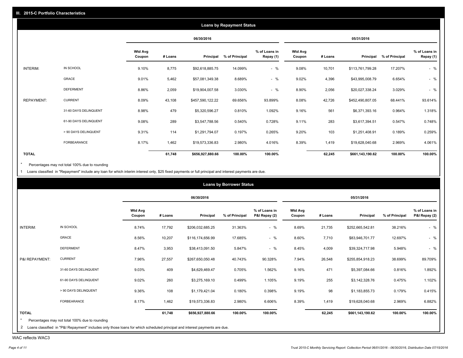|                   |                       |                          |         |                  | <b>Loans by Repayment Status</b> |                            |                          |         |                  |                |                            |
|-------------------|-----------------------|--------------------------|---------|------------------|----------------------------------|----------------------------|--------------------------|---------|------------------|----------------|----------------------------|
|                   |                       |                          |         | 06/30/2016       |                                  |                            |                          |         | 05/31/2016       |                |                            |
|                   |                       | <b>Wtd Avg</b><br>Coupon | # Loans | Principal        | % of Principal                   | % of Loans in<br>Repay (1) | <b>Wtd Avg</b><br>Coupon | # Loans | Principal        | % of Principal | % of Loans in<br>Repay (1) |
| INTERIM:          | IN SCHOOL             | 9.10%                    | 8,775   | \$92,618,885.75  | 14.099%                          | $-$ %                      | 9.08%                    | 10,701  | \$113,761,799.28 | 17.207%        | $-$ %                      |
|                   | GRACE                 | 9.01%                    | 5,462   | \$57,081,349.38  | 8.689%                           | $-$ %                      | 9.02%                    | 4,396   | \$43,995,008.79  | 6.654%         | $-$ %                      |
|                   | <b>DEFERMENT</b>      | 8.86%                    | 2,059   | \$19,904,007.58  | 3.030%                           | $-$ %                      | 8.90%                    | 2,056   | \$20,027,338.24  | 3.029%         | $-$ %                      |
| <b>REPAYMENT:</b> | <b>CURRENT</b>        | 8.09%                    | 43,108  | \$457,590,122.22 | 69.656%                          | 93.899%                    | 8.08%                    | 42,726  | \$452,490,807.05 | 68.441%        | 93.614%                    |
|                   | 31-60 DAYS DELINQUENT | 8.98%                    | 479     | \$5,320,596.27   | 0.810%                           | 1.092%                     | 9.16%                    | 561     | \$6,371,393.16   | 0.964%         | 1.318%                     |
|                   | 61-90 DAYS DELINQUENT | 9.08%                    | 289     | \$3,547,788.56   | 0.540%                           | 0.728%                     | 9.11%                    | 283     | \$3,617,394.51   | 0.547%         | 0.748%                     |
|                   | > 90 DAYS DELINQUENT  | 9.31%                    | 114     | \$1,291,794.07   | 0.197%                           | 0.265%                     | 9.20%                    | 103     | \$1,251,408.91   | 0.189%         | 0.259%                     |
|                   | <b>FORBEARANCE</b>    | 8.17%                    | 1,462   | \$19,573,336.83  | 2.980%                           | 4.016%                     | 8.39%                    | 1,419   | \$19,628,040.68  | 2.969%         | 4.061%                     |
| <b>TOTAL</b>      |                       |                          | 61,748  | \$656,927,880.66 | 100.00%                          | 100.00%                    |                          | 62,245  | \$661,143,190.62 | 100.00%        | 100.00%                    |

Percentages may not total 100% due to rounding  $^\star$ 

1 Loans classified in "Repayment" include any loan for which interim interest only, \$25 fixed payments or full principal and interest payments are due.

|                |                                                                                                                              |                          |         |                  | <b>Loans by Borrower Status</b> |                                |                   |         |                  |                |                                |
|----------------|------------------------------------------------------------------------------------------------------------------------------|--------------------------|---------|------------------|---------------------------------|--------------------------------|-------------------|---------|------------------|----------------|--------------------------------|
|                |                                                                                                                              |                          |         | 06/30/2016       |                                 |                                |                   |         | 05/31/2016       |                |                                |
|                |                                                                                                                              | <b>Wtd Avg</b><br>Coupon | # Loans | Principal        | % of Principal                  | % of Loans in<br>P&I Repay (2) | Wtd Avg<br>Coupon | # Loans | Principal        | % of Principal | % of Loans in<br>P&I Repay (2) |
| INTERIM:       | IN SCHOOL                                                                                                                    | 8.74%                    | 17,792  | \$206,032,685.25 | 31.363%                         | $-$ %                          | 8.69%             | 21,735  | \$252,665,542.81 | 38.216%        | $-$ %                          |
|                | <b>GRACE</b>                                                                                                                 | 8.56%                    | 10,207  | \$116,174,656.99 | 17.685%                         | $-$ %                          | 8.60%             | 7,710   | \$83,946,701.77  | 12.697%        | $-$ %                          |
|                | <b>DEFERMENT</b>                                                                                                             | 8.47%                    | 3,953   | \$38,413,091.50  | 5.847%                          | $-$ %                          | 8.45%             | 4,009   | \$39,324,717.98  | 5.948%         | $-$ %                          |
| P&I REPAYMENT: | <b>CURRENT</b>                                                                                                               | 7.96%                    | 27,557  | \$267,650,050.48 | 40.743%                         | 90.328%                        | 7.94%             | 26,548  | \$255,854,918.23 | 38.699%        | 89.709%                        |
|                | 31-60 DAYS DELINQUENT                                                                                                        | 9.03%                    | 409     | \$4,629,469.47   | 0.705%                          | 1.562%                         | 9.16%             | 471     | \$5,397,084.66   | 0.816%         | 1.892%                         |
|                | 61-90 DAYS DELINQUENT                                                                                                        | 9.02%                    | 260     | \$3,275,169.10   | 0.499%                          | 1.105%                         | 9.19%             | 255     | \$3,142,328.76   | 0.475%         | 1.102%                         |
|                | > 90 DAYS DELINQUENT                                                                                                         | 9.36%                    | 108     | \$1,179,421.04   | 0.180%                          | 0.398%                         | 9.19%             | 98      | \$1,183,855.73   | 0.179%         | 0.415%                         |
|                | FORBEARANCE                                                                                                                  | 8.17%                    | 1,462   | \$19,573,336.83  | 2.980%                          | 6.606%                         | 8.39%             | 1,419   | \$19,628,040.68  | 2.969%         | 6.882%                         |
| <b>TOTAL</b>   |                                                                                                                              |                          | 61,748  | \$656,927,880.66 | 100.00%                         | 100.00%                        |                   | 62,245  | \$661,143,190.62 | 100.00%        | 100.00%                        |
|                | Percentages may not total 100% due to rounding                                                                               |                          |         |                  |                                 |                                |                   |         |                  |                |                                |
|                | 2 Loans classified in "P&I Repayment" includes only those loans for which scheduled principal and interest payments are due. |                          |         |                  |                                 |                                |                   |         |                  |                |                                |

WAC reflects WAC3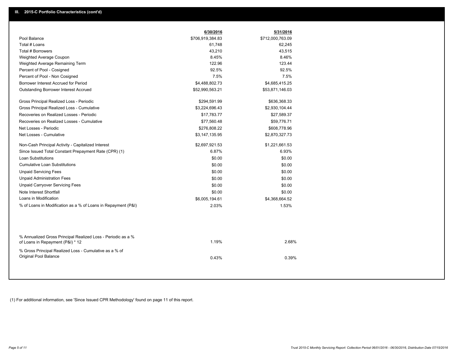|                                                                                                  | 6/30/2016        | 5/31/2016        |  |
|--------------------------------------------------------------------------------------------------|------------------|------------------|--|
| Pool Balance                                                                                     | \$706,919,384.83 | \$712,000,763.09 |  |
| Total # Loans                                                                                    | 61,748           | 62,245           |  |
| Total # Borrowers                                                                                | 43,210           | 43,515           |  |
| Weighted Average Coupon                                                                          | 8.45%            | 8.46%            |  |
| Weighted Average Remaining Term                                                                  | 122.96           | 123.44           |  |
| Percent of Pool - Cosigned                                                                       | 92.5%            | 92.5%            |  |
| Percent of Pool - Non Cosigned                                                                   | 7.5%             | 7.5%             |  |
| Borrower Interest Accrued for Period                                                             | \$4,488,802.73   | \$4,685,415.25   |  |
| Outstanding Borrower Interest Accrued                                                            | \$52,990,563.21  | \$53,871,146.03  |  |
| Gross Principal Realized Loss - Periodic                                                         | \$294,591.99     | \$636,368.33     |  |
| Gross Principal Realized Loss - Cumulative                                                       | \$3,224,696.43   | \$2,930,104.44   |  |
| Recoveries on Realized Losses - Periodic                                                         | \$17,783.77      | \$27,589.37      |  |
| Recoveries on Realized Losses - Cumulative                                                       | \$77,560.48      | \$59,776.71      |  |
| Net Losses - Periodic                                                                            | \$276,808.22     | \$608,778.96     |  |
| Net Losses - Cumulative                                                                          | \$3,147,135.95   | \$2,870,327.73   |  |
| Non-Cash Principal Activity - Capitalized Interest                                               | \$2,697,921.53   | \$1,221,661.53   |  |
| Since Issued Total Constant Prepayment Rate (CPR) (1)                                            | 6.87%            | 6.93%            |  |
| Loan Substitutions                                                                               | \$0.00           | \$0.00           |  |
| <b>Cumulative Loan Substitutions</b>                                                             | \$0.00           | \$0.00           |  |
| <b>Unpaid Servicing Fees</b>                                                                     | \$0.00           | \$0.00           |  |
| <b>Unpaid Administration Fees</b>                                                                | \$0.00           | \$0.00           |  |
| <b>Unpaid Carryover Servicing Fees</b>                                                           | \$0.00           | \$0.00           |  |
| Note Interest Shortfall                                                                          | \$0.00           | \$0.00           |  |
| Loans in Modification                                                                            | \$6,005,194.61   | \$4,368,664.52   |  |
| % of Loans in Modification as a % of Loans in Repayment (P&I)                                    | 2.03%            | 1.53%            |  |
|                                                                                                  |                  |                  |  |
| % Annualized Gross Principal Realized Loss - Periodic as a %<br>of Loans in Repayment (P&I) * 12 | 1.19%            | 2.68%            |  |
| % Gross Principal Realized Loss - Cumulative as a % of<br>Original Pool Balance                  | 0.43%            | 0.39%            |  |
|                                                                                                  |                  |                  |  |

(1) For additional information, see 'Since Issued CPR Methodology' found on page 11 of this report.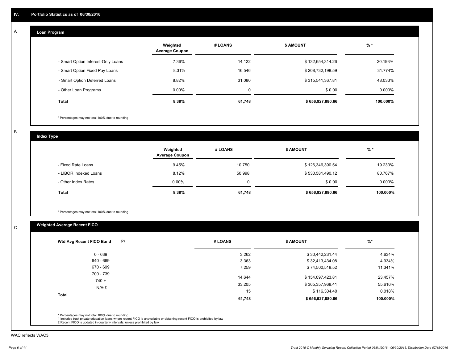#### **Loan Program**  A

|                                    | Weighted<br><b>Average Coupon</b> | # LOANS | <b>\$ AMOUNT</b> | $%$ *     |
|------------------------------------|-----------------------------------|---------|------------------|-----------|
| - Smart Option Interest-Only Loans | 7.36%                             | 14.122  | \$132,654,314.26 | 20.193%   |
| - Smart Option Fixed Pay Loans     | 8.31%                             | 16,546  | \$208,732,198.59 | 31.774%   |
| - Smart Option Deferred Loans      | 8.82%                             | 31.080  | \$315,541,367.81 | 48.033%   |
| - Other Loan Programs              | $0.00\%$                          | 0       | \$0.00           | $0.000\%$ |
| <b>Total</b>                       | 8.38%                             | 61,748  | \$656,927,880.66 | 100.000%  |

\* Percentages may not total 100% due to rounding

B

C

**Index Type**

|                       | Weighted<br><b>Average Coupon</b> | # LOANS | <b>S AMOUNT</b>  | $%$ *     |
|-----------------------|-----------------------------------|---------|------------------|-----------|
| - Fixed Rate Loans    | 9.45%                             | 10,750  | \$126,346,390.54 | 19.233%   |
| - LIBOR Indexed Loans | 8.12%                             | 50.998  | \$530,581,490.12 | 80.767%   |
| - Other Index Rates   | $0.00\%$                          |         | \$0.00           | $0.000\%$ |
| <b>Total</b>          | 8.38%                             | 61,748  | \$656,927,880.66 | 100.000%  |

\* Percentages may not total 100% due to rounding

## **Weighted Average Recent FICO**

| $0 - 639$    | 3,262  | \$30,442,231.44  |          |
|--------------|--------|------------------|----------|
|              |        |                  | 4.634%   |
| 640 - 669    | 3,363  | \$32,413,434.08  | 4.934%   |
| 670 - 699    | 7,259  | \$74,500,518.52  | 11.341%  |
| 700 - 739    | 14.644 | \$154,097,423.81 | 23.457%  |
| $740 +$      | 33,205 | \$365,357,968.41 | 55.616%  |
| N/A(1)       | 15     | \$116,304.40     | 0.018%   |
| <b>Total</b> | 61,748 | \$656,927,880.66 | 100.000% |

WAC reflects WAC3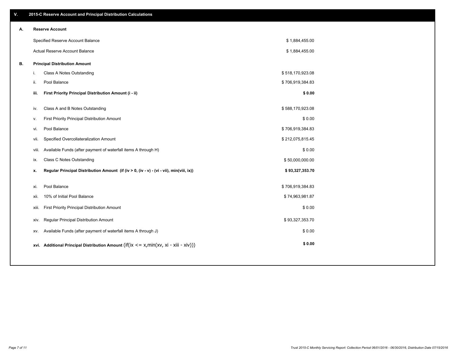| ۷. |       | 2015-C Reserve Account and Principal Distribution Calculations                             |                  |  |
|----|-------|--------------------------------------------------------------------------------------------|------------------|--|
| А. |       | <b>Reserve Account</b>                                                                     |                  |  |
|    |       | Specified Reserve Account Balance                                                          | \$1,884,455.00   |  |
|    |       | Actual Reserve Account Balance                                                             | \$1,884,455.00   |  |
| В. |       | <b>Principal Distribution Amount</b>                                                       |                  |  |
|    | j.    | Class A Notes Outstanding                                                                  | \$518,170,923.08 |  |
|    | ji.   | Pool Balance                                                                               | \$706,919,384.83 |  |
|    | iii.  | First Priority Principal Distribution Amount (i - ii)                                      | \$0.00           |  |
|    |       |                                                                                            |                  |  |
|    | iv.   | Class A and B Notes Outstanding                                                            | \$588,170,923.08 |  |
|    | v.    | First Priority Principal Distribution Amount                                               | \$0.00           |  |
|    | vi.   | Pool Balance                                                                               | \$706,919,384.83 |  |
|    | vii.  | Specified Overcollateralization Amount                                                     | \$212,075,815.45 |  |
|    | viii. | Available Funds (after payment of waterfall items A through H)                             | \$0.00           |  |
|    | ix.   | Class C Notes Outstanding                                                                  | \$50,000,000.00  |  |
|    | х.    | Regular Principal Distribution Amount (if (iv > 0, (iv - v) - (vi - vii), min(viii, ix))   | \$93,327,353.70  |  |
|    |       |                                                                                            |                  |  |
|    | xi.   | Pool Balance                                                                               | \$706,919,384.83 |  |
|    | xii.  | 10% of Initial Pool Balance                                                                | \$74,963,981.87  |  |
|    | xiii. | First Priority Principal Distribution Amount                                               | \$0.00           |  |
|    | xiv.  | Regular Principal Distribution Amount                                                      | \$93,327,353.70  |  |
|    | XV.   | Available Funds (after payment of waterfall items A through J)                             | \$0.00           |  |
|    |       | xvi. Additional Principal Distribution Amount (if(ix $\lt$ = x, min(xv, xi - xiii - xiv))) | \$0.00           |  |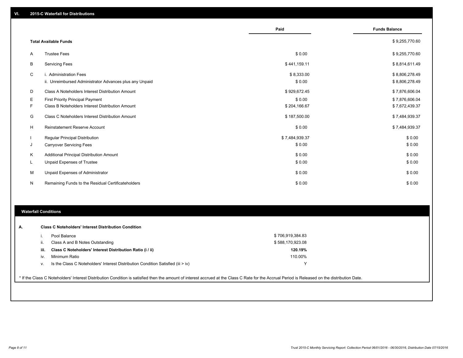|          |                                                         | Paid           | <b>Funds Balance</b> |
|----------|---------------------------------------------------------|----------------|----------------------|
|          | <b>Total Available Funds</b>                            |                | \$9,255,770.60       |
| A        | <b>Trustee Fees</b>                                     | \$0.00         | \$9,255,770.60       |
| B        | <b>Servicing Fees</b>                                   | \$441,159.11   | \$8,814,611.49       |
| C        | i. Administration Fees                                  | \$8,333.00     | \$8,806,278.49       |
|          | ii. Unreimbursed Administrator Advances plus any Unpaid | \$0.00         | \$8,806,278.49       |
| D        | Class A Noteholders Interest Distribution Amount        | \$929,672.45   | \$7,876,606.04       |
| Ε        | <b>First Priority Principal Payment</b>                 | \$0.00         | \$7,876,606.04       |
| F        | Class B Noteholders Interest Distribution Amount        | \$204,166.67   | \$7,672,439.37       |
| G        | Class C Noteholders Interest Distribution Amount        | \$187,500.00   | \$7,484,939.37       |
| н        | Reinstatement Reserve Account                           | \$0.00         | \$7,484,939.37       |
|          | <b>Regular Principal Distribution</b>                   | \$7,484,939.37 | \$0.00               |
| J        | <b>Carryover Servicing Fees</b>                         | \$0.00         | \$0.00               |
| K        | Additional Principal Distribution Amount                | \$0.00         | \$0.00               |
| <b>L</b> | Unpaid Expenses of Trustee                              | \$0.00         | \$0.00               |
| М        | Unpaid Expenses of Administrator                        | \$0.00         | \$0.00               |
| N        | Remaining Funds to the Residual Certificateholders      | \$0.00         | \$0.00               |

#### **Waterfall Conditions**

|      | Pool Balance                                                                       | \$706,919,384.83 |  |
|------|------------------------------------------------------------------------------------|------------------|--|
| Ш.   | Class A and B Notes Outstanding                                                    | \$588,170,923.08 |  |
| iii. | Class C Noteholders' Interest Distribution Ratio (i / ii)                          | 120.19%          |  |
| iv.  | Minimum Ratio                                                                      | 110.00%          |  |
| ν.   | Is the Class C Noteholders' Interest Distribution Condition Satisfied (iii $>$ iv) |                  |  |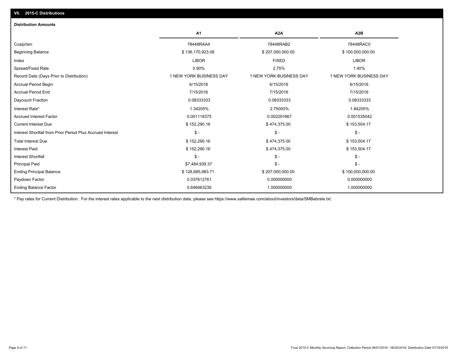| <b>Distribution Amounts</b>                                |                         |                         |                         |
|------------------------------------------------------------|-------------------------|-------------------------|-------------------------|
|                                                            | A <sub>1</sub>          | A <sub>2</sub> A        | A <sub>2</sub> B        |
| Cusip/Isin                                                 | 78448RAA4               | 78448RAB2               | 78448RAC0               |
| <b>Beginning Balance</b>                                   | \$136,170,923.08        | \$207,000,000.00        | \$100,000,000.00        |
| Index                                                      | <b>LIBOR</b>            | <b>FIXED</b>            | <b>LIBOR</b>            |
| Spread/Fixed Rate                                          | 0.90%                   | 2.75%                   | 1.40%                   |
| Record Date (Days Prior to Distribution)                   | 1 NEW YORK BUSINESS DAY | 1 NEW YORK BUSINESS DAY | 1 NEW YORK BUSINESS DAY |
| <b>Accrual Period Begin</b>                                | 6/15/2016               | 6/15/2016               | 6/15/2016               |
| <b>Accrual Period End</b>                                  | 7/15/2016               | 7/15/2016               | 7/15/2016               |
| Daycount Fraction                                          | 0.08333333              | 0.08333333              | 0.08333333              |
| Interest Rate*                                             | 1.34205%                | 2.75000%                | 1.84205%                |
| <b>Accrued Interest Factor</b>                             | 0.001118375             | 0.002291667             | 0.001535042             |
| <b>Current Interest Due</b>                                | \$152,290.16            | \$474,375.00            | \$153,504.17            |
| Interest Shortfall from Prior Period Plus Accrued Interest | $\mathsf{\$}$ -         | $\mathsf{\$}$ -         | $\mathsf{\$}$ -         |
| <b>Total Interest Due</b>                                  | \$152,290.16            | \$474,375.00            | \$153,504.17            |
| <b>Interest Paid</b>                                       | \$152,290.16            | \$474,375.00            | \$153,504.17            |
| <b>Interest Shortfall</b>                                  | $\mathbb{S}$ -          | $\mathsf{\$}$ -         | $S -$                   |
| <b>Principal Paid</b>                                      | \$7,484,939.37          | $\frac{2}{3}$ -         | $\mathsf{\$}$ -         |
| <b>Ending Principal Balance</b>                            | \$128,685,983.71        | \$207,000,000.00        | \$100,000,000.00        |
| Paydown Factor                                             | 0.037612761             | 0.000000000             | 0.000000000             |
| <b>Ending Balance Factor</b>                               | 0.646663235             | 1.000000000             | 1.000000000             |

\* Pay rates for Current Distribution. For the interest rates applicable to the next distribution date, please see https://www.salliemae.com/about/investors/data/SMBabrate.txt.

**VII. 2015-C Distributions**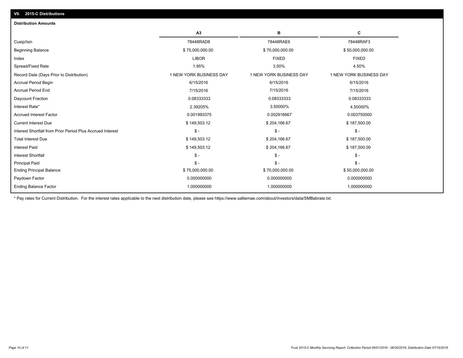| <b>Distribution Amounts</b>                                                   |                         |                         |
|-------------------------------------------------------------------------------|-------------------------|-------------------------|
| A3                                                                            | в                       | С                       |
| 78448RAD8<br>Cusip/Isin                                                       | 78448RAE6               | 78448RAF3               |
| <b>Beginning Balance</b><br>\$75,000,000.00                                   | \$70,000,000.00         | \$50,000,000.00         |
| <b>LIBOR</b><br>Index                                                         | <b>FIXED</b>            | <b>FIXED</b>            |
| Spread/Fixed Rate<br>1.95%                                                    | 3.50%                   | 4.50%                   |
| 1 NEW YORK BUSINESS DAY<br>Record Date (Days Prior to Distribution)           | 1 NEW YORK BUSINESS DAY | 1 NEW YORK BUSINESS DAY |
| <b>Accrual Period Begin</b><br>6/15/2016                                      | 6/15/2016               | 6/15/2016               |
| <b>Accrual Period End</b><br>7/15/2016                                        | 7/15/2016               | 7/15/2016               |
| Daycount Fraction<br>0.08333333                                               | 0.08333333              | 0.08333333              |
| 2.39205%<br>Interest Rate*                                                    | 3.50000%                | 4.50000%                |
| <b>Accrued Interest Factor</b><br>0.001993375                                 | 0.002916667             | 0.003750000             |
| \$149,503.12<br><b>Current Interest Due</b>                                   | \$204,166.67            | \$187,500.00            |
| Interest Shortfall from Prior Period Plus Accrued Interest<br>$\mathsf{\$}$ - | $\mathcal{S}$ -         | $$ -$                   |
| \$149,503.12<br><b>Total Interest Due</b>                                     | \$204,166.67            | \$187,500.00            |
| \$149,503.12<br><b>Interest Paid</b>                                          | \$204,166.67            | \$187,500.00            |
| <b>Interest Shortfall</b><br>$\mathsf{\$}$ -                                  | $\mathsf{\$}$ -         | $S -$                   |
| <b>Principal Paid</b><br>$\mathsf{\$}$ -                                      | $\mathsf{\$}$ -         | $S -$                   |
| <b>Ending Principal Balance</b><br>\$75,000,000.00                            | \$70,000,000.00         | \$50,000,000.00         |
| 0.000000000<br>Paydown Factor                                                 | 0.000000000             | 0.000000000             |
| <b>Ending Balance Factor</b><br>1.000000000                                   | 1.000000000             | 1.000000000             |

\* Pay rates for Current Distribution. For the interest rates applicable to the next distribution date, please see https://www.salliemae.com/about/investors/data/SMBabrate.txt.

**VII. 2015-C Distributions**